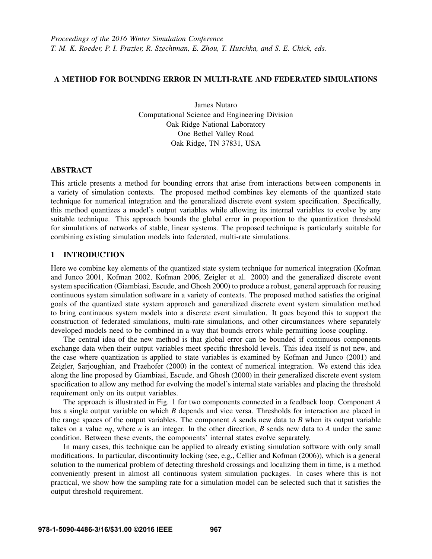# A METHOD FOR BOUNDING ERROR IN MULTI-RATE AND FEDERATED SIMULATIONS

James Nutaro Computational Science and Engineering Division Oak Ridge National Laboratory One Bethel Valley Road Oak Ridge, TN 37831, USA

### **ABSTRACT**

This article presents a method for bounding errors that arise from interactions between components in a variety of simulation contexts. The proposed method combines key elements of the quantized state technique for numerical integration and the generalized discrete event system specification. Specifically, this method quantizes a model's output variables while allowing its internal variables to evolve by any suitable technique. This approach bounds the global error in proportion to the quantization threshold for simulations of networks of stable, linear systems. The proposed technique is particularly suitable for combining existing simulation models into federated, multi-rate simulations.

### 1 INTRODUCTION

Here we combine key elements of the quantized state system technique for numerical integration (Kofman and Junco 2001, Kofman 2002, Kofman 2006, Zeigler et al. 2000) and the generalized discrete event system specification (Giambiasi, Escude, and Ghosh 2000) to produce a robust, general approach for reusing continuous system simulation software in a variety of contexts. The proposed method satisfies the original goals of the quantized state system approach and generalized discrete event system simulation method to bring continuous system models into a discrete event simulation. It goes beyond this to support the construction of federated simulations, multi-rate simulations, and other circumstances where separately developed models need to be combined in a way that bounds errors while permitting loose coupling.

The central idea of the new method is that global error can be bounded if continuous components exchange data when their output variables meet specific threshold levels. This idea itself is not new, and the case where quantization is applied to state variables is examined by Kofman and Junco (2001) and Zeigler, Sarjoughian, and Praehofer (2000) in the context of numerical integration. We extend this idea along the line proposed by Giambiasi, Escude, and Ghosh (2000) in their generalized discrete event system specification to allow any method for evolving the model's internal state variables and placing the threshold requirement only on its output variables.

The approach is illustrated in Fig. 1 for two components connected in a feedback loop. Component *A* has a single output variable on which *B* depends and vice versa. Thresholds for interaction are placed in the range spaces of the output variables. The component *A* sends new data to *B* when its output variable takes on a value *nq*, where *n* is an integer. In the other direction, *B* sends new data to *A* under the same condition. Between these events, the components' internal states evolve separately.

In many cases, this technique can be applied to already existing simulation software with only small modifications. In particular, discontinuity locking (see, e.g., Cellier and Kofman (2006)), which is a general solution to the numerical problem of detecting threshold crossings and localizing them in time, is a method conveniently present in almost all continuous system simulation packages. In cases where this is not practical, we show how the sampling rate for a simulation model can be selected such that it satisfies the output threshold requirement.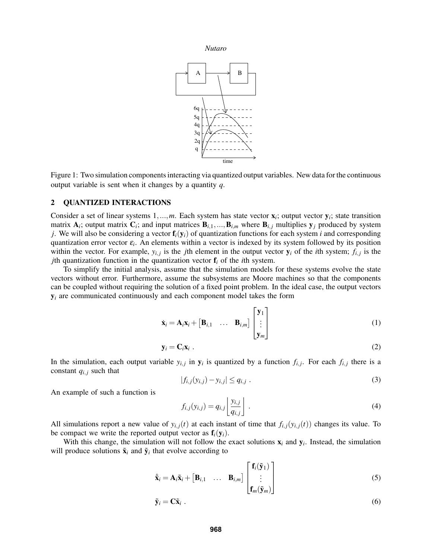

Figure 1: Two simulation components interacting via quantized output variables. New data for the continuous output variable is sent when it changes by a quantity *q*.

## 2 QUANTIZED INTERACTIONS

Consider a set of linear systems  $1, \ldots, m$ . Each system has state vector  $\mathbf{x}_i$ ; output vector  $\mathbf{y}_i$ ; state transition matrix  $A_i$ ; output matrix  $C_i$ ; and input matrices  $B_{i,1},...,B_{i,m}$  where  $B_{i,j}$  multiplies  $y_j$  produced by system *j*. We will also be considering a vector  $f_i(y_i)$  of quantization functions for each system *i* and corresponding quantization error vector ε*<sup>i</sup>* . An elements within a vector is indexed by its system followed by its position within the vector. For example,  $y_{i,j}$  is the *j*th element in the output vector  $y_i$  of the *i*th system;  $f_{i,j}$  is the *j*th quantization function in the quantization vector  $f_i$  of the *i*th system.

To simplify the initial analysis, assume that the simulation models for these systems evolve the state vectors without error. Furthermore, assume the subsystems are Moore machines so that the components can be coupled without requiring the solution of a fixed point problem. In the ideal case, the output vectors  $y_i$  are communicated continuously and each component model takes the form

$$
\dot{\mathbf{x}}_i = \mathbf{A}_i \mathbf{x}_i + \begin{bmatrix} \mathbf{B}_{i,1} & \dots & \mathbf{B}_{i,m} \end{bmatrix} \begin{bmatrix} \mathbf{y}_1 \\ \vdots \\ \mathbf{y}_m \end{bmatrix}
$$
(1)

$$
\mathbf{y}_i = \mathbf{C}_i \mathbf{x}_i \tag{2}
$$

In the simulation, each output variable  $y_{i,j}$  in  $y_i$  is quantized by a function  $f_{i,j}$ . For each  $f_{i,j}$  there is a constant  $q_{i,j}$  such that

$$
|f_{i,j}(y_{i,j}) - y_{i,j}| \le q_{i,j} . \tag{3}
$$

An example of such a function is

$$
f_{i,j}(y_{i,j}) = q_{i,j} \left[ \frac{y_{i,j}}{q_{i,j}} \right]. \tag{4}
$$

All simulations report a new value of  $y_{i,j}(t)$  at each instant of time that  $f_{i,j}(y_{i,j}(t))$  changes its value. To be compact we write the reported output vector as  $f_i(y_i)$ .

With this change, the simulation will not follow the exact solutions  $x_i$  and  $y_i$ . Instead, the simulation will produce solutions  $\tilde{\mathbf{x}}_i$  and  $\tilde{\mathbf{y}}_i$  that evolve according to

$$
\dot{\tilde{\mathbf{x}}}_i = \mathbf{A}_i \tilde{\mathbf{x}}_i + \begin{bmatrix} \mathbf{B}_{i,1} & \dots & \mathbf{B}_{i,m} \end{bmatrix} \begin{bmatrix} \mathbf{f}_i(\tilde{\mathbf{y}}_1) \\ \vdots \\ \mathbf{f}_m(\tilde{\mathbf{y}}_m) \end{bmatrix}
$$
(5)

$$
\tilde{\mathbf{y}}_i = \mathbf{C}\tilde{\mathbf{x}}_i \tag{6}
$$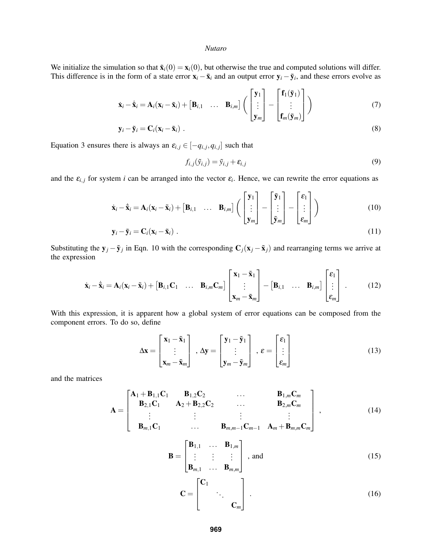We initialize the simulation so that  $\tilde{\mathbf{x}}_i(0) = \mathbf{x}_i(0)$ , but otherwise the true and computed solutions will differ. This difference is in the form of a state error  $\mathbf{x}_i - \tilde{\mathbf{x}}_i$  and an output error  $\mathbf{y}_i - \tilde{\mathbf{y}}_i$ , and these errors evolve as

$$
\dot{\mathbf{x}}_i - \tilde{\mathbf{x}}_i = \mathbf{A}_i (\mathbf{x}_i - \tilde{\mathbf{x}}_i) + \begin{bmatrix} \mathbf{B}_{i,1} & \dots & \mathbf{B}_{i,m} \end{bmatrix} \left( \begin{bmatrix} \mathbf{y}_1 \\ \vdots \\ \mathbf{y}_m \end{bmatrix} - \begin{bmatrix} \mathbf{f}_1(\tilde{\mathbf{y}}_1) \\ \vdots \\ \mathbf{f}_m(\tilde{\mathbf{y}}_m) \end{bmatrix} \right)
$$
(7)

$$
\mathbf{y}_i - \tilde{\mathbf{y}}_i = \mathbf{C}_i (\mathbf{x}_i - \tilde{\mathbf{x}}_i) \tag{8}
$$

Equation 3 ensures there is always an  $\varepsilon_{i,j} \in [-q_{i,j}, q_{i,j}]$  such that

$$
f_{i,j}(\tilde{y}_{i,j}) = \tilde{y}_{i,j} + \varepsilon_{i,j}
$$
\n(9)

and the  $\varepsilon_{i,j}$  for system *i* can be arranged into the vector  $\varepsilon_i$ . Hence, we can rewrite the error equations as

$$
\dot{\mathbf{x}}_i - \dot{\tilde{\mathbf{x}}}_i = \mathbf{A}_i (\mathbf{x}_i - \tilde{\mathbf{x}}_i) + [\mathbf{B}_{i,1} \quad \dots \quad \mathbf{B}_{i,m}] \left( \begin{bmatrix} \mathbf{y}_1 \\ \vdots \\ \mathbf{y}_m \end{bmatrix} - \begin{bmatrix} \tilde{\mathbf{y}}_1 \\ \vdots \\ \tilde{\mathbf{y}}_m \end{bmatrix} - \begin{bmatrix} \varepsilon_1 \\ \vdots \\ \varepsilon_m \end{bmatrix} \right)
$$
(10)

$$
\mathbf{y}_i - \tilde{\mathbf{y}}_i = \mathbf{C}_i (\mathbf{x}_i - \tilde{\mathbf{x}}_i) \tag{11}
$$

Substituting the  $y_j - \tilde{y}_j$  in Eqn. 10 with the corresponding  $C_j(x_j - \tilde{x}_j)$  and rearranging terms we arrive at the expression

$$
\dot{\mathbf{x}}_i - \dot{\tilde{\mathbf{x}}}_i = \mathbf{A}_i (\mathbf{x}_i - \tilde{\mathbf{x}}_i) + [\mathbf{B}_{i,1} \mathbf{C}_1 \quad \dots \quad \mathbf{B}_{i,m} \mathbf{C}_m] \begin{bmatrix} \mathbf{x}_1 - \tilde{\mathbf{x}}_1 \\ \vdots \\ \mathbf{x}_m - \tilde{\mathbf{x}}_m \end{bmatrix} - [\mathbf{B}_{i,1} \quad \dots \quad \mathbf{B}_{i,m}] \begin{bmatrix} \varepsilon_1 \\ \vdots \\ \varepsilon_m \end{bmatrix} . \tag{12}
$$

With this expression, it is apparent how a global system of error equations can be composed from the component errors. To do so, define

$$
\Delta \mathbf{x} = \begin{bmatrix} \mathbf{x}_1 - \tilde{\mathbf{x}}_1 \\ \vdots \\ \mathbf{x}_m - \tilde{\mathbf{x}}_m \end{bmatrix}, \ \Delta \mathbf{y} = \begin{bmatrix} \mathbf{y}_1 - \tilde{\mathbf{y}}_1 \\ \vdots \\ \mathbf{y}_m - \tilde{\mathbf{y}}_m \end{bmatrix}, \ \boldsymbol{\varepsilon} = \begin{bmatrix} \varepsilon_1 \\ \vdots \\ \varepsilon_m \end{bmatrix}
$$
(13)

and the matrices

$$
\mathbf{A} = \begin{bmatrix} \mathbf{A}_{1} + \mathbf{B}_{1,1} \mathbf{C}_{1} & \mathbf{B}_{1,2} \mathbf{C}_{2} & \dots & \mathbf{B}_{1,m} \mathbf{C}_{m} \\ \mathbf{B}_{2,1} \mathbf{C}_{1} & \mathbf{A}_{2} + \mathbf{B}_{2,2} \mathbf{C}_{2} & \dots & \mathbf{B}_{2,m} \mathbf{C}_{m} \\ \vdots & \vdots & \vdots & \vdots \\ \mathbf{B}_{m,1} \mathbf{C}_{1} & \dots & \mathbf{B}_{m,m-1} \mathbf{C}_{m-1} & \mathbf{A}_{m} + \mathbf{B}_{m,m} \mathbf{C}_{m} \end{bmatrix},
$$
(14)

$$
\mathbf{B} = \begin{bmatrix} \mathbf{B}_{1,1} & \dots & \mathbf{B}_{1,m} \\ \vdots & \vdots & \vdots \\ \mathbf{B}_{m,1} & \dots & \mathbf{B}_{m,m} \end{bmatrix}, \text{ and}
$$
 (15)

$$
\mathbf{C} = \begin{bmatrix} \mathbf{C}_1 & & \\ & \ddots & \\ & & \mathbf{C}_m \end{bmatrix} . \tag{16}
$$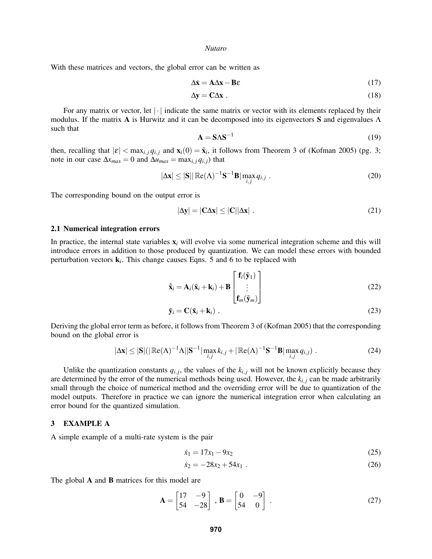With these matrices and vectors, the global error can be written as

$$
\Delta \dot{\mathbf{x}} = \mathbf{A} \Delta \mathbf{x} - \mathbf{B} \varepsilon \tag{17}
$$

$$
\Delta y = C \Delta x \tag{18}
$$

For any matrix or vector, let  $|\cdot|$  indicate the same matrix or vector with its elements replaced by their modulus. If the matrix A is Hurwitz and it can be decomposed into its eigenvectors S and eigenvalues  $\Lambda$ such that

$$
\mathbf{A} = \mathbf{S} \Lambda \mathbf{S}^{-1} \tag{19}
$$

then, recalling that  $|\varepsilon| < \max_{i,j} q_{i,j}$  and  $\mathbf{x}_i(0) = \tilde{\mathbf{x}}_i$ , it follows from Theorem 3 of (Kofman 2005) (pg. 3; note in our case  $\Delta x_{max} = 0$  and  $\Delta u_{max} = \max_{i,j} q_{i,j}$  that

$$
|\Delta \mathbf{x}| \le |\mathbf{S}| |\mathbb{Re}(\Lambda)^{-1} \mathbf{S}^{-1} \mathbf{B}| \max_{i,j} q_{i,j} .
$$
 (20)

The corresponding bound on the output error is

$$
|\Delta \mathbf{y}| = |\mathbf{C} \Delta \mathbf{x}| \le |\mathbf{C}| |\Delta \mathbf{x}| \tag{21}
$$

### 2.1 Numerical integration errors

In practice, the internal state variables  $x_i$  will evolve via some numerical integration scheme and this will introduce errors in addition to those produced by quantization. We can model these errors with bounded perturbation vectors k*<sup>i</sup>* . This change causes Eqns. 5 and 6 to be replaced with

$$
\dot{\tilde{\mathbf{x}}}_i = \mathbf{A}_i(\tilde{\mathbf{x}}_i + \mathbf{k}_i) + \mathbf{B} \begin{bmatrix} \mathbf{f}_i(\tilde{\mathbf{y}}_1) \\ \vdots \\ \mathbf{f}_m(\tilde{\mathbf{y}}_m) \end{bmatrix}
$$
(22)

$$
\tilde{\mathbf{y}}_i = \mathbf{C}(\tilde{\mathbf{x}}_i + \mathbf{k}_i) \tag{23}
$$

Deriving the global error term as before, it follows from Theorem 3 of (Kofman 2005) that the corresponding bound on the global error is

$$
|\Delta \mathbf{x}| \leq |\mathbf{S}| (|\mathbb{Re}(\Lambda)^{-1} \Lambda| |\mathbf{S}^{-1}| \max_{i,j} k_{i,j} + |\mathbb{Re}(\Lambda)^{-1} \mathbf{S}^{-1} \mathbf{B}| \max_{i,j} q_{i,j}). \qquad (24)
$$

Unlike the quantization constants  $q_{i,j}$ , the values of the  $k_{i,j}$  will not be known explicitly because they are determined by the error of the numerical methods being used. However, the  $k_i$ ,  $j$  can be made arbitrarily small through the choice of numerical method and the overriding error will be due to quantization of the model outputs. Therefore in practice we can ignore the numerical integration error when calculating an error bound for the quantized simulation.

### 3 EXAMPLE A

A simple example of a multi-rate system is the pair

$$
\dot{x}_1 = 17x_1 - 9x_2 \tag{25}
$$

$$
\dot{x}_2 = -28x_2 + 54x_1 \tag{26}
$$

The global **A** and **B** matrices for this model are

$$
\mathbf{A} = \begin{bmatrix} 17 & -9 \\ 54 & -28 \end{bmatrix}, \ \mathbf{B} = \begin{bmatrix} 0 & -9 \\ 54 & 0 \end{bmatrix} . \tag{27}
$$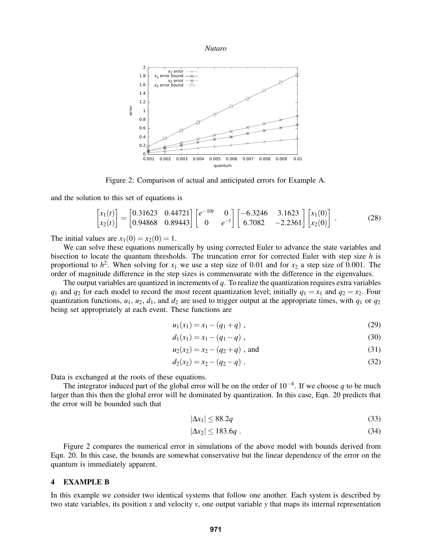



Figure 2: Comparison of actual and anticipated errors for Example A.

and the solution to this set of equations is

$$
\begin{bmatrix} x_1(t) \\ x_2(t) \end{bmatrix} = \begin{bmatrix} 0.31623 & 0.44721 \\ 0.94868 & 0.89443 \end{bmatrix} \begin{bmatrix} e^{-10t} & 0 \\ 0 & e^{-t} \end{bmatrix} \begin{bmatrix} -6.3246 & 3.1623 \\ 6.7082 & -2.2361 \end{bmatrix} \begin{bmatrix} x_1(0) \\ x_2(0) \end{bmatrix} .
$$
 (28)

The initial values are  $x_1(0) = x_2(0) = 1$ .

We can solve these equations numerically by using corrected Euler to advance the state variables and bisection to locate the quantum thresholds. The truncation error for corrected Euler with step size *h* is proportional to  $h^2$ . When solving for  $x_1$  we use a step size of 0.01 and for  $x_2$  a step size of 0.001. The order of magnitude difference in the step sizes is commensurate with the difference in the eigenvalues.

The output variables are quantized in increments of *q*. To realize the quantization requires extra variables *q*<sub>1</sub> and *q*<sub>2</sub> for each model to record the most recent quantization level; initially  $q_1 = x_1$  and  $q_2 = x_2$ . Four quantization functions,  $u_1$ ,  $u_2$ ,  $d_1$ , and  $d_2$  are used to trigger output at the appropriate times, with  $q_1$  or  $q_2$ being set appropriately at each event. These functions are

$$
u_1(x_1) = x_1 - (q_1 + q) \tag{29}
$$

$$
d_1(x_1) = x_1 - (q_1 - q) \tag{30}
$$

$$
u_2(x_2) = x_2 - (q_2 + q) \text{ , and } \tag{31}
$$

$$
d_2(x_2) = x_2 - (q_2 - q) \tag{32}
$$

Data is exchanged at the roots of these equations.

The integrator induced part of the global error will be on the order of 10−<sup>4</sup> . If we choose *q* to be much larger than this then the global error will be dominated by quantization. In this case, Eqn. 20 predicts that the error will be bounded such that

$$
|\Delta x_1| \le 88.2q \tag{33}
$$

$$
|\Delta x_2| \le 183.6q \tag{34}
$$

Figure 2 compares the numerical error in simulations of the above model with bounds derived from Eqn. 20. In this case, the bounds are somewhat conservative but the linear dependence of the error on the quantum is immediately apparent.

### 4 EXAMPLE B

In this example we consider two identical systems that follow one another. Each system is described by two state variables, its position  $x$  and velocity  $y$ , one output variable  $y$  that maps its internal representation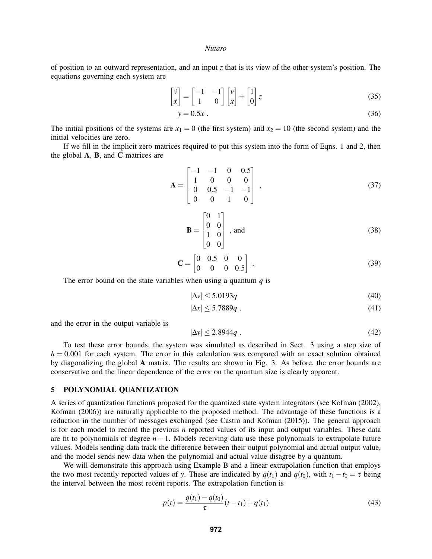of position to an outward representation, and an input *z* that is its view of the other system's position. The equations governing each system are

$$
\begin{bmatrix} \dot{v} \\ \dot{x} \end{bmatrix} = \begin{bmatrix} -1 & -1 \\ 1 & 0 \end{bmatrix} \begin{bmatrix} v \\ x \end{bmatrix} + \begin{bmatrix} 1 \\ 0 \end{bmatrix} z \tag{35}
$$

$$
y = 0.5x \tag{36}
$$

The initial positions of the systems are  $x_1 = 0$  (the first system) and  $x_2 = 10$  (the second system) and the initial velocities are zero.

If we fill in the implicit zero matrices required to put this system into the form of Eqns. 1 and 2, then the global A, B, and C matrices are

$$
\mathbf{A} = \begin{bmatrix} -1 & -1 & 0 & 0.5 \\ 1 & 0 & 0 & 0 \\ 0 & 0.5 & -1 & -1 \\ 0 & 0 & 1 & 0 \end{bmatrix},
$$
(37)

$$
\mathbf{B} = \begin{bmatrix} 0 & 1 \\ 0 & 0 \\ 1 & 0 \\ 0 & 0 \end{bmatrix}, \text{ and}
$$
 (38)

$$
\mathbf{C} = \begin{bmatrix} 0 & 0.5 & 0 & 0 \\ 0 & 0 & 0 & 0.5 \end{bmatrix} . \tag{39}
$$

The error bound on the state variables when using a quantum  $q$  is

$$
|\Delta v| \le 5.0193q\tag{40}
$$

$$
|\Delta x| \le 5.7889q . \tag{41}
$$

and the error in the output variable is

$$
|\Delta y| \le 2.8944q \tag{42}
$$

To test these error bounds, the system was simulated as described in Sect. 3 using a step size of  $h = 0.001$  for each system. The error in this calculation was compared with an exact solution obtained by diagonalizing the global A matrix. The results are shown in Fig. 3. As before, the error bounds are conservative and the linear dependence of the error on the quantum size is clearly apparent.

### 5 POLYNOMIAL QUANTIZATION

A series of quantization functions proposed for the quantized state system integrators (see Kofman (2002), Kofman (2006)) are naturally applicable to the proposed method. The advantage of these functions is a reduction in the number of messages exchanged (see Castro and Kofman (2015)). The general approach is for each model to record the previous *n* reported values of its input and output variables. These data are fit to polynomials of degree *n*−1. Models receiving data use these polynomials to extrapolate future values. Models sending data track the difference between their output polynomial and actual output value, and the model sends new data when the polynomial and actual value disagree by a quantum.

We will demonstrate this approach using Example B and a linear extrapolation function that employs the two most recently reported values of *y*. These are indicated by  $q(t_1)$  and  $q(t_0)$ , with  $t_1 - t_0 = \tau$  being the interval between the most recent reports. The extrapolation function is

$$
p(t) = \frac{q(t_1) - q(t_0)}{\tau} (t - t_1) + q(t_1)
$$
\n(43)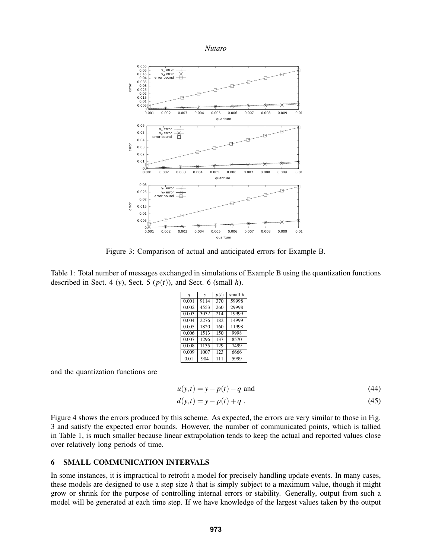

Figure 3: Comparison of actual and anticipated errors for Example B.

Table 1: Total number of messages exchanged in simulations of Example B using the quantization functions described in Sect. 4 (*y*), Sect. 5 ( $p(t)$ ), and Sect. 6 (small *h*).

| $\boldsymbol{q}$ | $\mathcal V$ | p(t) | small h |
|------------------|--------------|------|---------|
| 0.001            | 9114         | 370  | 59998   |
| 0.002            | 4553         | 260  | 29998   |
| 0.003            | 3032         | 214  | 19999   |
| 0.004            | 2276         | 182  | 14999   |
| 0.005            | 1820         | 160  | 11998   |
| 0.006            | 1513         | 150  | 9998    |
| 0.007            | 1296         | 137  | 8570    |
| 0.008            | 1135         | 129  | 7499    |
| 0.009            | 1007         | 123  | 6666    |
| 0.01             | 904          | 111  | 5999    |

and the quantization functions are

$$
u(y,t) = y - p(t) - q
$$
 and (44)

$$
d(y,t) = y - p(t) + q.
$$
 (45)

Figure 4 shows the errors produced by this scheme. As expected, the errors are very similar to those in Fig. 3 and satisfy the expected error bounds. However, the number of communicated points, which is tallied in Table 1, is much smaller because linear extrapolation tends to keep the actual and reported values close over relatively long periods of time.

### 6 SMALL COMMUNICATION INTERVALS

In some instances, it is impractical to retrofit a model for precisely handling update events. In many cases, these models are designed to use a step size *h* that is simply subject to a maximum value, though it might grow or shrink for the purpose of controlling internal errors or stability. Generally, output from such a model will be generated at each time step. If we have knowledge of the largest values taken by the output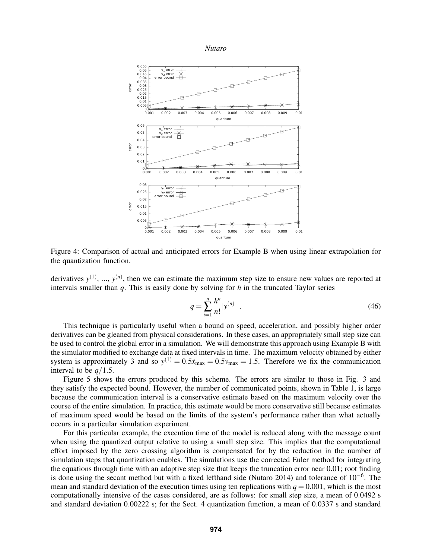

Figure 4: Comparison of actual and anticipated errors for Example B when using linear extrapolation for the quantization function.

derivatives  $y^{(1)}$ , ...,  $y^{(n)}$ , then we can estimate the maximum step size to ensure new values are reported at intervals smaller than *q*. This is easily done by solving for *h* in the truncated Taylor series

$$
q = \sum_{i=1}^{n} \frac{h^n}{n!} |y^{(n)}| \tag{46}
$$

This technique is particularly useful when a bound on speed, acceleration, and possibly higher order derivatives can be gleaned from physical considerations. In these cases, an appropriately small step size can be used to control the global error in a simulation. We will demonstrate this approach using Example B with the simulator modified to exchange data at fixed intervals in time. The maximum velocity obtained by either system is approximately 3 and so  $y^{(1)} = 0.5\dot{x}_{\text{max}} = 0.5v_{\text{max}} = 1.5$ . Therefore we fix the communication interval to be *q*/1.5.

Figure 5 shows the errors produced by this scheme. The errors are similar to those in Fig. 3 and they satisfy the expected bound. However, the number of communicated points, shown in Table 1, is large because the communication interval is a conservative estimate based on the maximum velocity over the course of the entire simulation. In practice, this estimate would be more conservative still because estimates of maximum speed would be based on the limits of the system's performance rather than what actually occurs in a particular simulation experiment.

For this particular example, the execution time of the model is reduced along with the message count when using the quantized output relative to using a small step size. This implies that the computational effort imposed by the zero crossing algorithm is compensated for by the reduction in the number of simulation steps that quantization enables. The simulations use the corrected Euler method for integrating the equations through time with an adaptive step size that keeps the truncation error near 0.01; root finding is done using the secant method but with a fixed lefthand side (Nutaro 2014) and tolerance of 10−<sup>6</sup> . The mean and standard deviation of the execution times using ten replications with  $q = 0.001$ , which is the most computationally intensive of the cases considered, are as follows: for small step size, a mean of 0.0492 s and standard deviation 0.00222 s; for the Sect. 4 quantization function, a mean of 0.0337 s and standard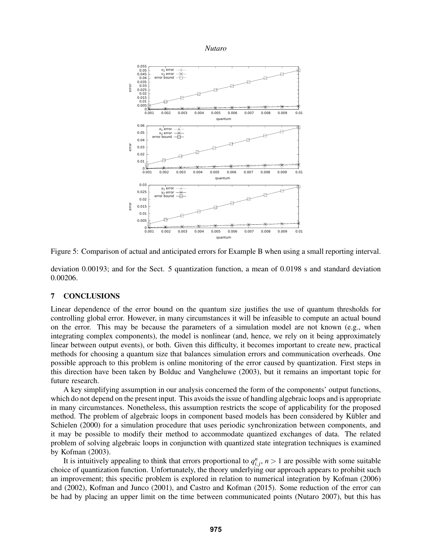

Figure 5: Comparison of actual and anticipated errors for Example B when using a small reporting interval.

deviation 0.00193; and for the Sect. 5 quantization function, a mean of 0.0198 s and standard deviation 0.00206.

### 7 CONCLUSIONS

Linear dependence of the error bound on the quantum size justifies the use of quantum thresholds for controlling global error. However, in many circumstances it will be infeasible to compute an actual bound on the error. This may be because the parameters of a simulation model are not known (e.g., when integrating complex components), the model is nonlinear (and, hence, we rely on it being approximately linear between output events), or both. Given this difficulty, it becomes important to create new, practical methods for choosing a quantum size that balances simulation errors and communication overheads. One possible approach to this problem is online monitoring of the error caused by quantization. First steps in this direction have been taken by Bolduc and Vangheluwe (2003), but it remains an important topic for future research.

A key simplifying assumption in our analysis concerned the form of the components' output functions, which do not depend on the present input. This avoids the issue of handling algebraic loops and is appropriate in many circumstances. Nonetheless, this assumption restricts the scope of applicability for the proposed method. The problem of algebraic loops in component based models has been considered by Kübler and Schielen (2000) for a simulation procedure that uses periodic synchronization between components, and it may be possible to modify their method to accommodate quantized exchanges of data. The related problem of solving algebraic loops in conjunction with quantized state integration techniques is examined by Kofman (2003).

It is intuitively appealing to think that errors proportional to  $q_{i,j}^n$ ,  $n > 1$  are possible with some suitable choice of quantization function. Unfortunately, the theory underlying our approach appears to prohibit such an improvement; this specific problem is explored in relation to numerical integration by Kofman (2006) and (2002), Kofman and Junco (2001), and Castro and Kofman (2015). Some reduction of the error can be had by placing an upper limit on the time between communicated points (Nutaro 2007), but this has